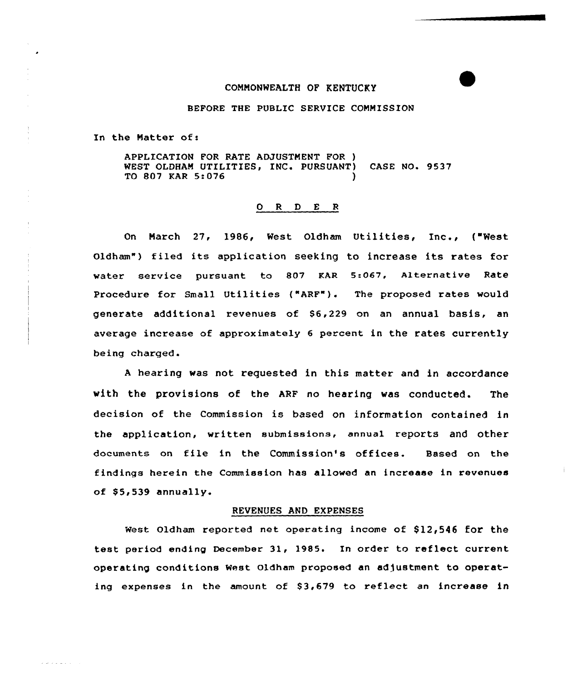#### COMMONWEALTH OP KENTUCKY

#### BEFORE THE PUBLIC SERVICE COMMISSION

In the Natter of:

a provincia d

APPLICATION FOR RATE ADJUSTMENT FOR ) WEST OLDHAM UTILITIES, INC. PURSUANT) CASE NO. 9537 TO 807 KAR 5:076 )

#### 0 <sup>R</sup> <sup>D</sup> E <sup>R</sup>

On March 27, 1986, West Oldham Utilities, Inc., ("West Oldham") filed its application seeking to increase its rates for water service pursuant to 807 KAR 5:067, Alternative Rate Procedure for Small Utilities ("ARF"). The proposed rates would generate additional revenues of 86,229 on an annual basis, an average increase of approximately 6 percent in the rates currently being charged.

A hearing was not requested in this matter and in accordance with the provisions of the ARF no hearing was conducted. The decision of the Commission is based on information contained in the application, written submissions, annual reports and other documents on file in the Commission's offices. Based on the findings herein the Commission has allowed an increase in revenues of  $$5,539$  annually.

#### REVENUES AND EXPENSES

West Oldham reported net operating income of  $$12,546$  for the test period ending December 31, 1985. In order to reflect current operating conditions West Oldham proposed an adjustment to operating expenses in the amount of 83,679 to reflect an increase in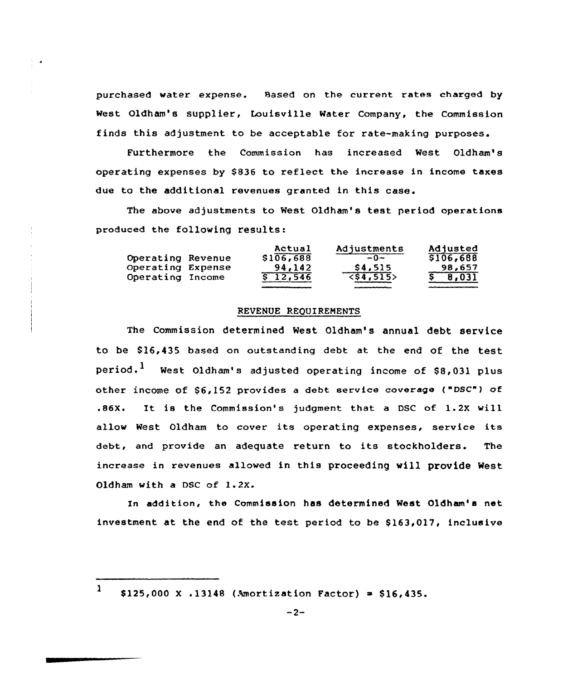purchased water expense. Based on the current rates charged by west Oldham's supplier, Louisville water Company, the Commission finds this adjustment to be acceptable for rate-making purposes.

Furthermore the Commission has increased West Oldham's operating expenses by \$836 to reflect the increase in income taxes due to the additional revenues granted in this case.

The above adjustments to west Oldham's test period operations produced the following results:

|                   | Actual    | Adjustments                         | Adjusted |
|-------------------|-----------|-------------------------------------|----------|
| Operating Revenue | \$106,688 | $-0-$                               | 5106,688 |
| Operating Expense | 94.142    | \$4,515                             | 98,657   |
| Operating Income  | \$12,546  | $\overline{\langle $4,515 \rangle}$ | 8,031    |

#### REVENVE REQUIREMENTS

The Commission determined West Oldham's annual debt service to be 816,435 based on outstanding debt at the end of the test period.<sup>1</sup> West Oldham's adjusted operating income of \$8,031 plus other income of  $$6,152$  provides a debt service coverage ("DSC") of .86X. Xt is the Commission's judgment that a DSC of 1.2X will allow West Oldham to cover its operating expenses, service its debt, and provide an adequate return to its stockholders. The increase in revenues allowed in this proceeding vill provide West Oldham with a DSC of 1.2X.

In addition, the Commission has determined West Oldham's net investment at the end of the test period to be  $$163,017$ , inclusive

1  $$125,000 \text{ X}.13148$  (Amortization Factor) = \$16,435.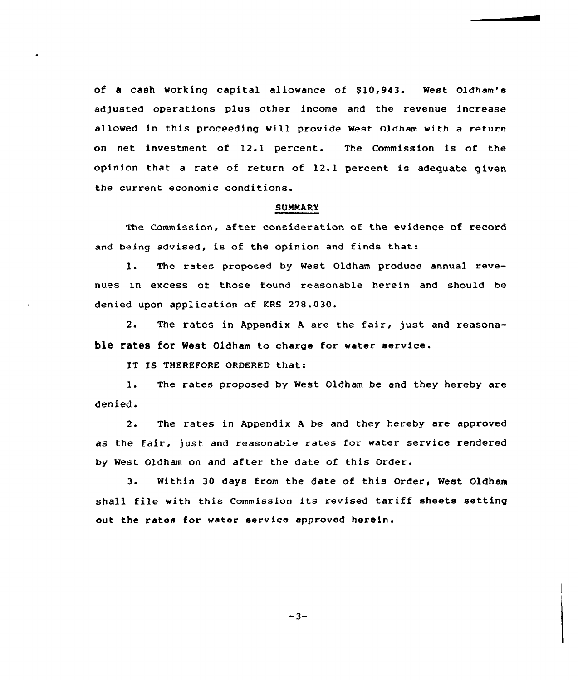of a cash working capital allowance of \$10,943. West Oldham's adjusted operations plus other income and the revenue increase allowed in this proceeding will provide West Oldham with a return on net investment of 12.1 percent. The Commission is of the opinion that <sup>a</sup> rate of return of 12.1 percent is adequate given the current economic conditions.

## **SUMMARY**

The Commission, after consideration of the evidence of record and being advised, is of the opinion and finds that:

l. The rates proposed by West Oldham produce annual revenues in excess of those found reasonable herein and should be denied upon application of KRS 278.030.

2. The rates in Appendix <sup>A</sup> are the fair, just and reasonable rates for West Oldham to charge for water service.

IT IS THEREFORE ORDERED that:

l. The rates proposed by West Oldham be and they hereby are denied.

2. The rates in Appendix <sup>A</sup> be and they hereby are approved as the fair, just and reasonable rates for water service rendered by Nest Oldham on and after the date of this Order.

3. Within 30 days from the date of this Order, West Oldham shall file with this Commission its revised tariff sheets setting out the rates for water service approved herein.

 $-3-$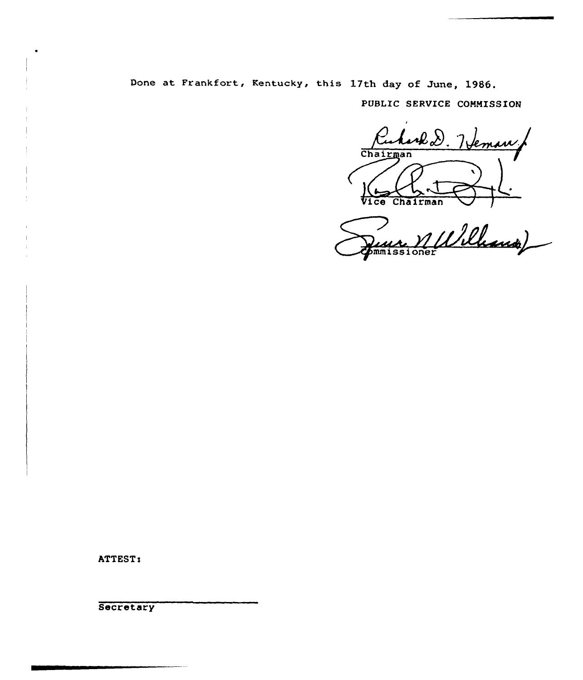Done at Frankfort, Kentucky, this 17th day of June, 1986.

PUBLIC SERVICE COMMISSION

Ruhard D. Veman Chairman Vice Chairman /

nulle Luce XII

ATTEST:

**Secretary**